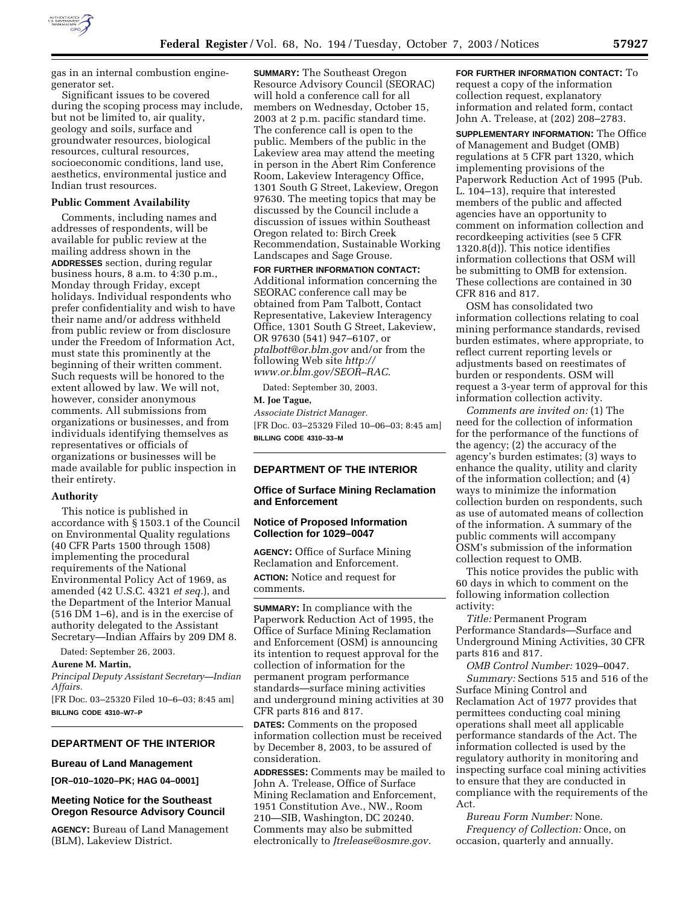

gas in an internal combustion enginegenerator set.

Significant issues to be covered during the scoping process may include, but not be limited to, air quality, geology and soils, surface and groundwater resources, biological resources, cultural resources, socioeconomic conditions, land use, aesthetics, environmental justice and Indian trust resources.

### **Public Comment Availability**

Comments, including names and addresses of respondents, will be available for public review at the mailing address shown in the **ADDRESSES** section, during regular business hours, 8 a.m. to 4:30 p.m., Monday through Friday, except holidays. Individual respondents who prefer confidentiality and wish to have their name and/or address withheld from public review or from disclosure under the Freedom of Information Act, must state this prominently at the beginning of their written comment. Such requests will be honored to the extent allowed by law. We will not, however, consider anonymous comments. All submissions from organizations or businesses, and from individuals identifying themselves as representatives or officials of organizations or businesses will be made available for public inspection in their entirety.

#### **Authority**

This notice is published in accordance with § 1503.1 of the Council on Environmental Quality regulations (40 CFR Parts 1500 through 1508) implementing the procedural requirements of the National Environmental Policy Act of 1969, as amended (42 U.S.C. 4321 *et seq.*), and the Department of the Interior Manual (516 DM 1–6), and is in the exercise of authority delegated to the Assistant Secretary—Indian Affairs by 209 DM 8.

Dated: September 26, 2003.

## **Aurene M. Martin,**

*Principal Deputy Assistant Secretary—Indian Affairs.*

[FR Doc. 03–25320 Filed 10–6–03; 8:45 am] **BILLING CODE 4310–W7–P**

## **DEPARTMENT OF THE INTERIOR**

## **Bureau of Land Management**

**[OR–010–1020–PK; HAG 04–0001]** 

## **Meeting Notice for the Southeast Oregon Resource Advisory Council**

**AGENCY:** Bureau of Land Management (BLM), Lakeview District.

**SUMMARY:** The Southeast Oregon Resource Advisory Council (SEORAC) will hold a conference call for all members on Wednesday, October 15, 2003 at 2 p.m. pacific standard time. The conference call is open to the public. Members of the public in the Lakeview area may attend the meeting in person in the Abert Rim Conference Room, Lakeview Interagency Office, 1301 South G Street, Lakeview, Oregon 97630. The meeting topics that may be discussed by the Council include a discussion of issues within Southeast Oregon related to: Birch Creek Recommendation, Sustainable Working Landscapes and Sage Grouse.

**FOR FURTHER INFORMATION CONTACT:** Additional information concerning the SEORAC conference call may be obtained from Pam Talbott, Contact Representative, Lakeview Interagency Office, 1301 South G Street, Lakeview, OR 97630 (541) 947–6107, or *ptalbott@or.blm.gov* and/or from the following Web site *http:// www.or.blm.gov/SEOR–RAC.*

Dated: September 30, 2003.

**M. Joe Tague,**  *Associate District Manager.* [FR Doc. 03–25329 Filed 10–06–03; 8:45 am] **BILLING CODE 4310–33–M**

## **DEPARTMENT OF THE INTERIOR**

## **Office of Surface Mining Reclamation and Enforcement**

## **Notice of Proposed Information Collection for 1029–0047**

**AGENCY:** Office of Surface Mining Reclamation and Enforcement. **ACTION:** Notice and request for comments.

**SUMMARY:** In compliance with the Paperwork Reduction Act of 1995, the Office of Surface Mining Reclamation and Enforcement (OSM) is announcing its intention to request approval for the collection of information for the permanent program performance standards—surface mining activities and underground mining activities at 30 CFR parts 816 and 817.

**DATES:** Comments on the proposed information collection must be received by December 8, 2003, to be assured of consideration.

**ADDRESSES:** Comments may be mailed to John A. Trelease, Office of Surface Mining Reclamation and Enforcement, 1951 Constitution Ave., NW., Room 210—SIB, Washington, DC 20240. Comments may also be submitted electronically to *Jtrelease@osmre.gov.*

**FOR FURTHER INFORMATION CONTACT:** To request a copy of the information collection request, explanatory information and related form, contact John A. Trelease, at (202) 208–2783.

**SUPPLEMENTARY INFORMATION:** The Office of Management and Budget (OMB) regulations at 5 CFR part 1320, which implementing provisions of the Paperwork Reduction Act of 1995 (Pub. L. 104–13), require that interested members of the public and affected agencies have an opportunity to comment on information collection and recordkeeping activities (see 5 CFR 1320.8(d)). This notice identifies information collections that OSM will be submitting to OMB for extension. These collections are contained in 30 CFR 816 and 817.

OSM has consolidated two information collections relating to coal mining performance standards, revised burden estimates, where appropriate, to reflect current reporting levels or adjustments based on reestimates of burden or respondents. OSM will request a 3-year term of approval for this information collection activity.

*Comments are invited on:* (1) The need for the collection of information for the performance of the functions of the agency; (2) the accuracy of the agency's burden estimates; (3) ways to enhance the quality, utility and clarity of the information collection; and (4) ways to minimize the information collection burden on respondents, such as use of automated means of collection of the information. A summary of the public comments will accompany OSM's submission of the information collection request to OMB.

This notice provides the public with 60 days in which to comment on the following information collection activity:

*Title:* Permanent Program Performance Standards—Surface and Underground Mining Activities, 30 CFR parts 816 and 817.

*OMB Control Number:* 1029–0047. *Summary:* Sections 515 and 516 of the Surface Mining Control and Reclamation Act of 1977 provides that permittees conducting coal mining operations shall meet all applicable performance standards of the Act. The information collected is used by the regulatory authority in monitoring and inspecting surface coal mining activities to ensure that they are conducted in compliance with the requirements of the Act.

*Bureau Form Number:* None. *Frequency of Collection:* Once, on occasion, quarterly and annually.